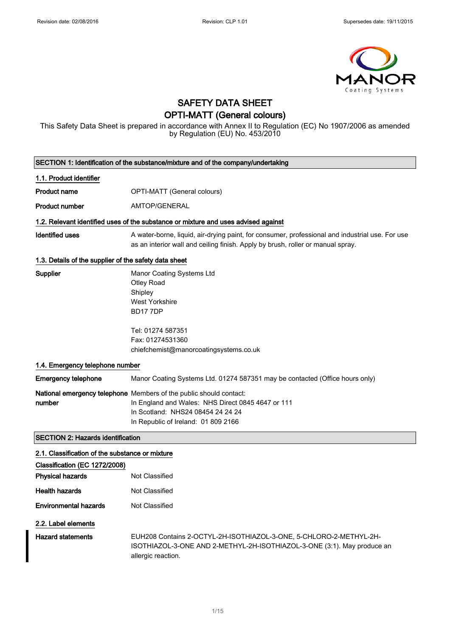

## SAFETY DATA SHEET OPTI-MATT (General colours)

This Safety Data Sheet is prepared in accordance with Annex II to Regulation (EC) No 1907/2006 as amended by Regulation (EU) No. 453/2010

| SECTION 1: Identification of the substance/mixture and of the company/undertaking |                                                                                                                                                                                                     |  |  |
|-----------------------------------------------------------------------------------|-----------------------------------------------------------------------------------------------------------------------------------------------------------------------------------------------------|--|--|
| 1.1. Product identifier                                                           |                                                                                                                                                                                                     |  |  |
| <b>Product name</b>                                                               | OPTI-MATT (General colours)                                                                                                                                                                         |  |  |
| <b>Product number</b>                                                             | AMTOP/GENERAL                                                                                                                                                                                       |  |  |
|                                                                                   | 1.2. Relevant identified uses of the substance or mixture and uses advised against                                                                                                                  |  |  |
| <b>Identified uses</b>                                                            | A water-borne, liquid, air-drying paint, for consumer, professional and industrial use. For use<br>as an interior wall and ceiling finish. Apply by brush, roller or manual spray.                  |  |  |
| 1.3. Details of the supplier of the safety data sheet                             |                                                                                                                                                                                                     |  |  |
| Supplier                                                                          | Manor Coating Systems Ltd<br><b>Otley Road</b><br>Shipley<br><b>West Yorkshire</b><br><b>BD177DP</b>                                                                                                |  |  |
|                                                                                   | Tel: 01274 587351<br>Fax: 01274531360<br>chiefchemist@manorcoatingsystems.co.uk                                                                                                                     |  |  |
| 1.4. Emergency telephone number                                                   |                                                                                                                                                                                                     |  |  |
| <b>Emergency telephone</b>                                                        | Manor Coating Systems Ltd. 01274 587351 may be contacted (Office hours only)                                                                                                                        |  |  |
| number                                                                            | National emergency telephone Members of the public should contact:<br>In England and Wales: NHS Direct 0845 4647 or 111<br>In Scotland: NHS24 08454 24 24 24<br>In Republic of Ireland: 01 809 2166 |  |  |
| <b>SECTION 2: Hazards identification</b>                                          |                                                                                                                                                                                                     |  |  |
| 2.1. Classification of the substance or mixture                                   |                                                                                                                                                                                                     |  |  |
| Classification (EC 1272/2008)<br><b>Physical hazards</b>                          | Not Classified                                                                                                                                                                                      |  |  |
| <b>Health hazards</b>                                                             | Not Classified                                                                                                                                                                                      |  |  |
| <b>Environmental hazards</b>                                                      | Not Classified                                                                                                                                                                                      |  |  |
| 2.2. Label elements<br><b>Hazard statements</b>                                   | EUH208 Contains 2-OCTYL-2H-ISOTHIAZOL-3-ONE, 5-CHLORO-2-METHYL-2H-<br>ISOTHIAZOL-3-ONE AND 2-METHYL-2H-ISOTHIAZOL-3-ONE (3:1). May produce an<br>allergic reaction.                                 |  |  |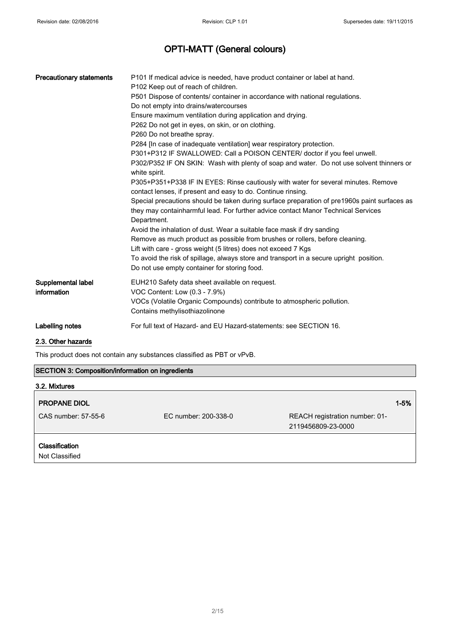| <b>Precautionary statements</b> | P101 If medical advice is needed, have product container or label at hand.<br>P102 Keep out of reach of children.                                                                                |  |
|---------------------------------|--------------------------------------------------------------------------------------------------------------------------------------------------------------------------------------------------|--|
|                                 | P501 Dispose of contents/ container in accordance with national regulations.                                                                                                                     |  |
|                                 | Do not empty into drains/watercourses                                                                                                                                                            |  |
|                                 | Ensure maximum ventilation during application and drying.                                                                                                                                        |  |
|                                 | P262 Do not get in eyes, on skin, or on clothing.                                                                                                                                                |  |
|                                 | P260 Do not breathe spray.                                                                                                                                                                       |  |
|                                 | P284 [In case of inadequate ventilation] wear respiratory protection.                                                                                                                            |  |
|                                 | P301+P312 IF SWALLOWED: Call a POISON CENTER/ doctor if you feel unwell.                                                                                                                         |  |
|                                 | P302/P352 IF ON SKIN: Wash with plenty of soap and water. Do not use solvent thinners or<br>white spirit.                                                                                        |  |
|                                 | P305+P351+P338 IF IN EYES: Rinse cautiously with water for several minutes. Remove<br>contact lenses, if present and easy to do. Continue rinsing.                                               |  |
|                                 | Special precautions should be taken during surface preparation of pre1960s paint surfaces as<br>they may containharmful lead. For further advice contact Manor Technical Services<br>Department. |  |
|                                 | Avoid the inhalation of dust. Wear a suitable face mask if dry sanding                                                                                                                           |  |
|                                 | Remove as much product as possible from brushes or rollers, before cleaning.                                                                                                                     |  |
|                                 | Lift with care - gross weight (5 litres) does not exceed 7 Kgs                                                                                                                                   |  |
|                                 | To avoid the risk of spillage, always store and transport in a secure upright position.<br>Do not use empty container for storing food.                                                          |  |
| Supplemental label              | EUH210 Safety data sheet available on request.                                                                                                                                                   |  |
| information                     | VOC Content: Low (0.3 - 7.9%)                                                                                                                                                                    |  |
|                                 | VOCs (Volatile Organic Compounds) contribute to atmospheric pollution.<br>Contains methylisothiazolinone                                                                                         |  |
| Labelling notes                 | For full text of Hazard- and EU Hazard-statements: see SECTION 16.                                                                                                                               |  |
| ----                            |                                                                                                                                                                                                  |  |

### 2.3. Other hazards

This product does not contain any substances classified as PBT or vPvB.

### SECTION 3: Composition/information on ingredients

| 3.2. Mixtures                    |                      |                                                      |          |
|----------------------------------|----------------------|------------------------------------------------------|----------|
| <b>PROPANE DIOL</b>              |                      |                                                      | $1 - 5%$ |
| CAS number: 57-55-6              | EC number: 200-338-0 | REACH registration number: 01-<br>2119456809-23-0000 |          |
| Classification<br>Not Classified |                      |                                                      |          |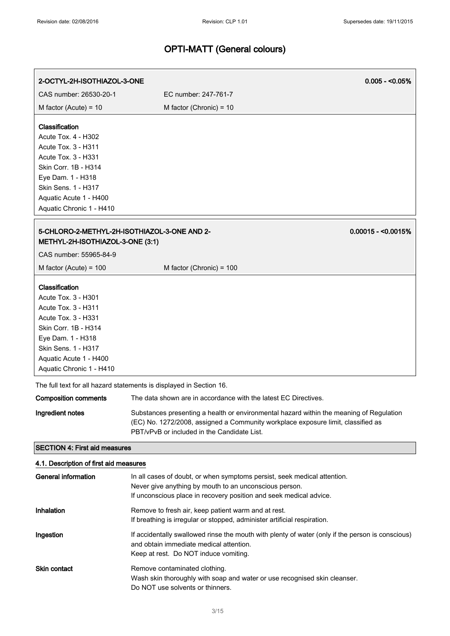| 2-OCTYL-2H-ISOTHIAZOL-3-ONE                                                                                                                                                                                          |                                                                                  |                                                                                                                                                                             | $0.005 - 0.05\%$    |
|----------------------------------------------------------------------------------------------------------------------------------------------------------------------------------------------------------------------|----------------------------------------------------------------------------------|-----------------------------------------------------------------------------------------------------------------------------------------------------------------------------|---------------------|
| CAS number: 26530-20-1                                                                                                                                                                                               | EC number: 247-761-7                                                             |                                                                                                                                                                             |                     |
| M factor (Acute) = $10$                                                                                                                                                                                              | M factor (Chronic) = $10$                                                        |                                                                                                                                                                             |                     |
| Classification<br>Acute Tox. 4 - H302<br>Acute Tox. 3 - H311<br><b>Acute Tox. 3 - H331</b><br>Skin Corr. 1B - H314<br>Eye Dam. 1 - H318<br>Skin Sens. 1 - H317<br>Aquatic Acute 1 - H400<br>Aquatic Chronic 1 - H410 |                                                                                  |                                                                                                                                                                             |                     |
| 5-CHLORO-2-METHYL-2H-ISOTHIAZOL-3-ONE AND 2-<br>METHYL-2H-ISOTHIAZOL-3-ONE (3:1)                                                                                                                                     |                                                                                  |                                                                                                                                                                             | $0.00015 - 0.0015%$ |
| CAS number: 55965-84-9                                                                                                                                                                                               |                                                                                  |                                                                                                                                                                             |                     |
| M factor (Acute) = $100$                                                                                                                                                                                             | M factor (Chronic) = 100                                                         |                                                                                                                                                                             |                     |
| Classification<br>Acute Tox. 3 - H301<br>Acute Tox. 3 - H311<br>Acute Tox. 3 - H331<br>Skin Corr. 1B - H314<br>Eye Dam. 1 - H318<br>Skin Sens. 1 - H317<br>Aquatic Acute 1 - H400<br>Aquatic Chronic 1 - H410        |                                                                                  |                                                                                                                                                                             |                     |
|                                                                                                                                                                                                                      | The full text for all hazard statements is displayed in Section 16.              |                                                                                                                                                                             |                     |
| <b>Composition comments</b>                                                                                                                                                                                          |                                                                                  | The data shown are in accordance with the latest EC Directives.                                                                                                             |                     |
| Ingredient notes                                                                                                                                                                                                     | PBT/vPvB or included in the Candidate List.                                      | Substances presenting a health or environmental hazard within the meaning of Regulation<br>(EC) No. 1272/2008, assigned a Community workplace exposure limit, classified as |                     |
| <b>SECTION 4: First aid measures</b>                                                                                                                                                                                 |                                                                                  |                                                                                                                                                                             |                     |
| 4.1. Description of first aid measures                                                                                                                                                                               |                                                                                  |                                                                                                                                                                             |                     |
| <b>General information</b>                                                                                                                                                                                           | Never give anything by mouth to an unconscious person.                           | In all cases of doubt, or when symptoms persist, seek medical attention.<br>If unconscious place in recovery position and seek medical advice.                              |                     |
| Inhalation                                                                                                                                                                                                           | Remove to fresh air, keep patient warm and at rest.                              | If breathing is irregular or stopped, administer artificial respiration.                                                                                                    |                     |
| Ingestion                                                                                                                                                                                                            | and obtain immediate medical attention.<br>Keep at rest. Do NOT induce vomiting. | If accidentally swallowed rinse the mouth with plenty of water (only if the person is conscious)                                                                            |                     |
| Skin contact                                                                                                                                                                                                         | Remove contaminated clothing.                                                    |                                                                                                                                                                             |                     |

Do NOT use solvents or thinners.

Wash skin thoroughly with soap and water or use recognised skin cleanser.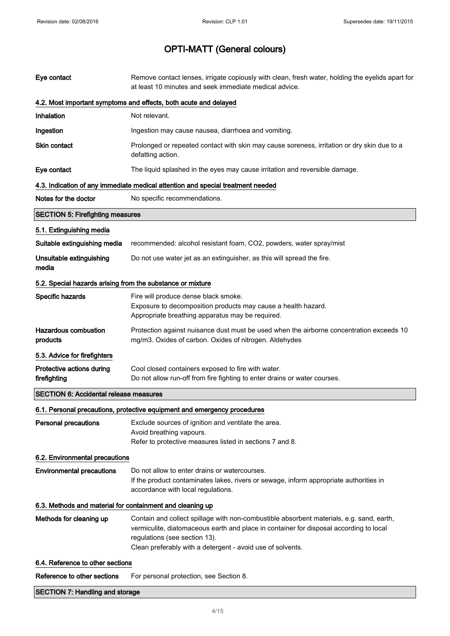| <b>SECTION 7: Handling and storage</b>                     |                                                                                                                                                                                                                                                                                   |  |
|------------------------------------------------------------|-----------------------------------------------------------------------------------------------------------------------------------------------------------------------------------------------------------------------------------------------------------------------------------|--|
| Reference to other sections                                | For personal protection, see Section 8.                                                                                                                                                                                                                                           |  |
| 6.4. Reference to other sections                           |                                                                                                                                                                                                                                                                                   |  |
| Methods for cleaning up                                    | Contain and collect spillage with non-combustible absorbent materials, e.g. sand, earth,<br>vermiculite, diatomaceous earth and place in container for disposal according to local<br>regulations (see section 13).<br>Clean preferably with a detergent - avoid use of solvents. |  |
| 6.3. Methods and material for containment and cleaning up  |                                                                                                                                                                                                                                                                                   |  |
| <b>Environmental precautions</b>                           | Do not allow to enter drains or watercourses.<br>If the product contaminates lakes, rivers or sewage, inform appropriate authorities in<br>accordance with local regulations.                                                                                                     |  |
| 6.2. Environmental precautions                             |                                                                                                                                                                                                                                                                                   |  |
| <b>Personal precautions</b>                                | Exclude sources of ignition and ventilate the area.<br>Avoid breathing vapours.<br>Refer to protective measures listed in sections 7 and 8.                                                                                                                                       |  |
|                                                            | 6.1. Personal precautions, protective equipment and emergency procedures                                                                                                                                                                                                          |  |
| <b>SECTION 6: Accidental release measures</b>              |                                                                                                                                                                                                                                                                                   |  |
| Protective actions during<br>firefighting                  | Cool closed containers exposed to fire with water.<br>Do not allow run-off from fire fighting to enter drains or water courses.                                                                                                                                                   |  |
| 5.3. Advice for firefighters                               |                                                                                                                                                                                                                                                                                   |  |
| <b>Hazardous combustion</b><br>products                    | Protection against nuisance dust must be used when the airborne concentration exceeds 10<br>mg/m3. Oxides of carbon. Oxides of nitrogen. Aldehydes                                                                                                                                |  |
| Specific hazards                                           | Fire will produce dense black smoke.<br>Exposure to decomposition products may cause a health hazard.<br>Appropriate breathing apparatus may be required.                                                                                                                         |  |
| 5.2. Special hazards arising from the substance or mixture |                                                                                                                                                                                                                                                                                   |  |
| Unsuitable extinguishing<br>media                          | Do not use water jet as an extinguisher, as this will spread the fire.                                                                                                                                                                                                            |  |
| Suitable extinguishing media                               | recommended: alcohol resistant foam, CO2, powders, water spray/mist                                                                                                                                                                                                               |  |
| 5.1. Extinguishing media                                   |                                                                                                                                                                                                                                                                                   |  |
| <b>SECTION 5: Firefighting measures</b>                    |                                                                                                                                                                                                                                                                                   |  |
| Notes for the doctor                                       | No specific recommendations.                                                                                                                                                                                                                                                      |  |
|                                                            | 4.3. Indication of any immediate medical attention and special treatment needed                                                                                                                                                                                                   |  |
| Eye contact                                                | The liquid splashed in the eyes may cause irritation and reversible damage.                                                                                                                                                                                                       |  |
| <b>Skin contact</b>                                        | Prolonged or repeated contact with skin may cause soreness, irritation or dry skin due to a<br>defatting action.                                                                                                                                                                  |  |
| Ingestion                                                  | Ingestion may cause nausea, diarrhoea and vomiting.                                                                                                                                                                                                                               |  |
| Inhalation                                                 | Not relevant.                                                                                                                                                                                                                                                                     |  |
|                                                            | 4.2. Most important symptoms and effects, both acute and delayed                                                                                                                                                                                                                  |  |
| Eye contact                                                | Remove contact lenses, irrigate copiously with clean, fresh water, holding the eyelids apart for<br>at least 10 minutes and seek immediate medical advice.                                                                                                                        |  |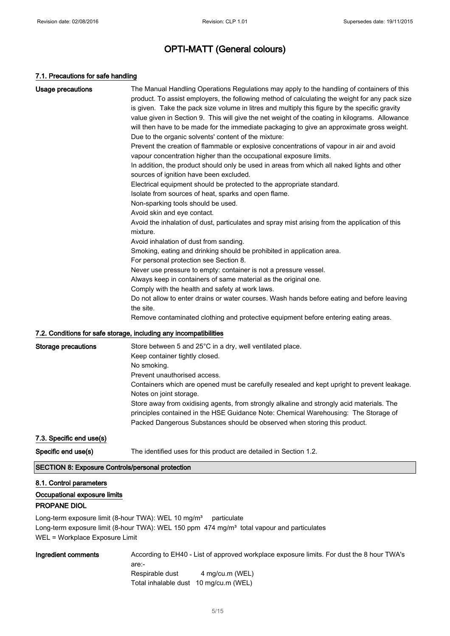#### 7.1. Precautions for safe handling

| <b>Usage precautions</b>   | The Manual Handling Operations Regulations may apply to the handling of containers of this<br>product. To assist employers, the following method of calculating the weight for any pack size<br>is given. Take the pack size volume in litres and multiply this figure by the specific gravity<br>value given in Section 9. This will give the net weight of the coating in kilograms. Allowance<br>will then have to be made for the immediate packaging to give an approximate gross weight.<br>Due to the organic solvents' content of the mixture:<br>Prevent the creation of flammable or explosive concentrations of vapour in air and avoid<br>vapour concentration higher than the occupational exposure limits.<br>In addition, the product should only be used in areas from which all naked lights and other<br>sources of ignition have been excluded.<br>Electrical equipment should be protected to the appropriate standard.<br>Isolate from sources of heat, sparks and open flame.<br>Non-sparking tools should be used.<br>Avoid skin and eye contact.<br>Avoid the inhalation of dust, particulates and spray mist arising from the application of this<br>mixture.<br>Avoid inhalation of dust from sanding.<br>Smoking, eating and drinking should be prohibited in application area. |
|----------------------------|------------------------------------------------------------------------------------------------------------------------------------------------------------------------------------------------------------------------------------------------------------------------------------------------------------------------------------------------------------------------------------------------------------------------------------------------------------------------------------------------------------------------------------------------------------------------------------------------------------------------------------------------------------------------------------------------------------------------------------------------------------------------------------------------------------------------------------------------------------------------------------------------------------------------------------------------------------------------------------------------------------------------------------------------------------------------------------------------------------------------------------------------------------------------------------------------------------------------------------------------------------------------------------------------------------|
|                            | For personal protection see Section 8.<br>Never use pressure to empty: container is not a pressure vessel.<br>Always keep in containers of same material as the original one.<br>Comply with the health and safety at work laws.<br>Do not allow to enter drains or water courses. Wash hands before eating and before leaving<br>the site.<br>Remove contaminated clothing and protective equipment before entering eating areas.                                                                                                                                                                                                                                                                                                                                                                                                                                                                                                                                                                                                                                                                                                                                                                                                                                                                         |
|                            | 7.2. Conditions for safe storage, including any incompatibilities                                                                                                                                                                                                                                                                                                                                                                                                                                                                                                                                                                                                                                                                                                                                                                                                                                                                                                                                                                                                                                                                                                                                                                                                                                          |
| <b>Storage precautions</b> | Store between 5 and 25°C in a dry, well ventilated place.<br>Keep container tightly closed.<br>No smoking.<br>Prevent unauthorised access.<br>Containers which are opened must be carefully resealed and kept upright to prevent leakage.<br>Notes on joint storage.<br>Store away from oxidising agents, from strongly alkaline and strongly acid materials. The<br>principles contained in the HSE Guidance Note: Chemical Warehousing: The Storage of                                                                                                                                                                                                                                                                                                                                                                                                                                                                                                                                                                                                                                                                                                                                                                                                                                                   |

7.3. Specific end use(s)

Specific end use(s) The identified uses for this product are detailed in Section 1.2.

### SECTION 8: Exposure Controls/personal protection

### 8.1. Control parameters

### Occupational exposure limits

#### PROPANE DIOL

Long-term exposure limit (8-hour TWA): WEL 10 mg/m<sup>3</sup> particulate Long-term exposure limit (8-hour TWA): WEL 150 ppm 474 mg/m<sup>3</sup> total vapour and particulates WEL = Workplace Exposure Limit

Ingredient comments According to EH40 - List of approved workplace exposure limits. For dust the 8 hour TWA's are:- Respirable dust 4 mg/cu.m (WEL) Total inhalable dust 10 mg/cu.m (WEL)

Packed Dangerous Substances should be observed when storing this product.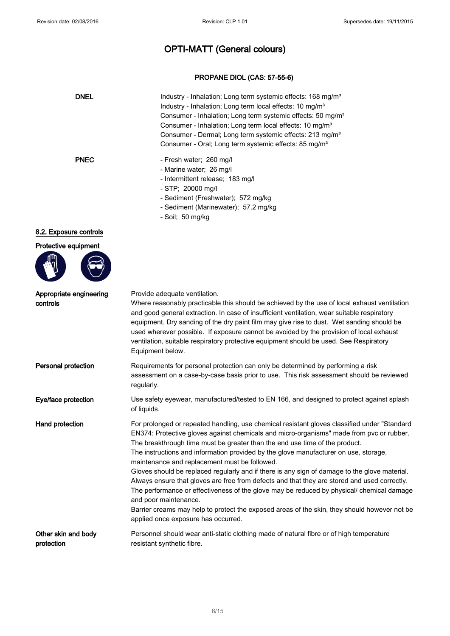### PROPANE DIOL (CAS: 57-55-6)

| <b>DNEL</b>                         | Industry - Inhalation; Long term systemic effects: 168 mg/m <sup>3</sup><br>Industry - Inhalation; Long term local effects: 10 mg/m <sup>3</sup><br>Consumer - Inhalation; Long term systemic effects: 50 mg/m <sup>3</sup><br>Consumer - Inhalation; Long term local effects: 10 mg/m <sup>3</sup><br>Consumer - Dermal; Long term systemic effects: 213 mg/m <sup>3</sup><br>Consumer - Oral; Long term systemic effects: 85 mg/m <sup>3</sup>                                                                                                                                                                                                                                                                                                                                                                                                                               |
|-------------------------------------|--------------------------------------------------------------------------------------------------------------------------------------------------------------------------------------------------------------------------------------------------------------------------------------------------------------------------------------------------------------------------------------------------------------------------------------------------------------------------------------------------------------------------------------------------------------------------------------------------------------------------------------------------------------------------------------------------------------------------------------------------------------------------------------------------------------------------------------------------------------------------------|
| <b>PNEC</b>                         | - Fresh water; 260 mg/l<br>- Marine water; 26 mg/l<br>- Intermittent release; 183 mg/l<br>- STP; 20000 mg/l<br>- Sediment (Freshwater); 572 mg/kg<br>- Sediment (Marinewater); 57.2 mg/kg<br>- Soil; 50 mg/kg                                                                                                                                                                                                                                                                                                                                                                                                                                                                                                                                                                                                                                                                  |
| 8.2. Exposure controls              |                                                                                                                                                                                                                                                                                                                                                                                                                                                                                                                                                                                                                                                                                                                                                                                                                                                                                |
| Protective equipment                |                                                                                                                                                                                                                                                                                                                                                                                                                                                                                                                                                                                                                                                                                                                                                                                                                                                                                |
| Appropriate engineering<br>controls | Provide adequate ventilation.<br>Where reasonably practicable this should be achieved by the use of local exhaust ventilation<br>and good general extraction. In case of insufficient ventilation, wear suitable respiratory<br>equipment. Dry sanding of the dry paint film may give rise to dust. Wet sanding should be<br>used wherever possible. If exposure cannot be avoided by the provision of local exhaust<br>ventilation, suitable respiratory protective equipment should be used. See Respiratory<br>Equipment below.                                                                                                                                                                                                                                                                                                                                             |
| Personal protection                 | Requirements for personal protection can only be determined by performing a risk<br>assessment on a case-by-case basis prior to use. This risk assessment should be reviewed<br>regularly.                                                                                                                                                                                                                                                                                                                                                                                                                                                                                                                                                                                                                                                                                     |
| Eye/face protection                 | Use safety eyewear, manufactured/tested to EN 166, and designed to protect against splash<br>of liquids.                                                                                                                                                                                                                                                                                                                                                                                                                                                                                                                                                                                                                                                                                                                                                                       |
| Hand protection                     | For prolonged or repeated handling, use chemical resistant gloves classified under "Standard<br>EN374: Protective gloves against chemicals and micro-organisms" made from pvc or rubber.<br>The breakthrough time must be greater than the end use time of the product.<br>The instructions and information provided by the glove manufacturer on use, storage,<br>maintenance and replacement must be followed.<br>Gloves should be replaced regularly and if there is any sign of damage to the glove material.<br>Always ensure that gloves are free from defects and that they are stored and used correctly.<br>The performance or effectiveness of the glove may be reduced by physical/ chemical damage<br>and poor maintenance.<br>Barrier creams may help to protect the exposed areas of the skin, they should however not be<br>applied once exposure has occurred. |
| Other skin and body<br>protection   | Personnel should wear anti-static clothing made of natural fibre or of high temperature<br>resistant synthetic fibre.                                                                                                                                                                                                                                                                                                                                                                                                                                                                                                                                                                                                                                                                                                                                                          |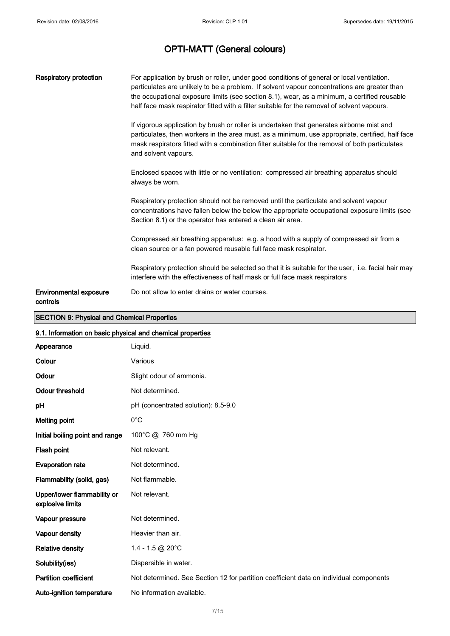| <b>Respiratory protection</b>             | For application by brush or roller, under good conditions of general or local ventilation.<br>particulates are unlikely to be a problem. If solvent vapour concentrations are greater than<br>the occupational exposure limits (see section 8.1), wear, as a minimum, a certified reusable<br>half face mask respirator fitted with a filter suitable for the removal of solvent vapours. |
|-------------------------------------------|-------------------------------------------------------------------------------------------------------------------------------------------------------------------------------------------------------------------------------------------------------------------------------------------------------------------------------------------------------------------------------------------|
|                                           | If vigorous application by brush or roller is undertaken that generates airborne mist and<br>particulates, then workers in the area must, as a minimum, use appropriate, certified, half face<br>mask respirators fitted with a combination filter suitable for the removal of both particulates<br>and solvent vapours.                                                                  |
|                                           | Enclosed spaces with little or no ventilation: compressed air breathing apparatus should<br>always be worn.                                                                                                                                                                                                                                                                               |
|                                           | Respiratory protection should not be removed until the particulate and solvent vapour<br>concentrations have fallen below the below the appropriate occupational exposure limits (see<br>Section 8.1) or the operator has entered a clean air area.                                                                                                                                       |
|                                           | Compressed air breathing apparatus: e.g. a hood with a supply of compressed air from a<br>clean source or a fan powered reusable full face mask respirator.                                                                                                                                                                                                                               |
|                                           | Respiratory protection should be selected so that it is suitable for the user, i.e. facial hair may<br>interfere with the effectiveness of half mask or full face mask respirators                                                                                                                                                                                                        |
| <b>Environmental exposure</b><br>controls | Do not allow to enter drains or water courses.                                                                                                                                                                                                                                                                                                                                            |

### SECTION 9: Physical and Chemical Properties

| 9.1. Information on basic physical and chemical properties |                                                                                        |  |
|------------------------------------------------------------|----------------------------------------------------------------------------------------|--|
| Appearance                                                 | Liquid.                                                                                |  |
| Colour                                                     | Various                                                                                |  |
| Odour                                                      | Slight odour of ammonia.                                                               |  |
| <b>Odour threshold</b>                                     | Not determined.                                                                        |  |
| pH                                                         | pH (concentrated solution): 8.5-9.0                                                    |  |
| <b>Melting point</b>                                       | $0^{\circ}$ C                                                                          |  |
| Initial boiling point and range                            | 100°C @ 760 mm Hg                                                                      |  |
| Flash point                                                | Not relevant.                                                                          |  |
| <b>Evaporation rate</b>                                    | Not determined.                                                                        |  |
| Flammability (solid, gas)                                  | Not flammable.                                                                         |  |
| Upper/lower flammability or<br>explosive limits            | Not relevant.                                                                          |  |
| Vapour pressure                                            | Not determined.                                                                        |  |
| Vapour density                                             | Heavier than air.                                                                      |  |
| <b>Relative density</b>                                    | 1.4 - 1.5 @ 20 $^{\circ}$ C                                                            |  |
| Solubility(ies)                                            | Dispersible in water.                                                                  |  |
| <b>Partition coefficient</b>                               | Not determined. See Section 12 for partition coefficient data on individual components |  |
| Auto-ignition temperature                                  | No information available.                                                              |  |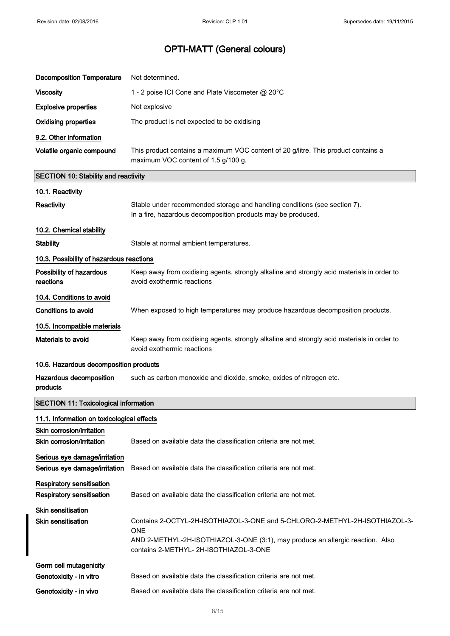| <b>Decomposition Temperature</b>                                     | Not determined.                                                                                                                                                                                                       |
|----------------------------------------------------------------------|-----------------------------------------------------------------------------------------------------------------------------------------------------------------------------------------------------------------------|
| <b>Viscosity</b>                                                     | 1 - 2 poise ICI Cone and Plate Viscometer @ 20°C                                                                                                                                                                      |
| <b>Explosive properties</b>                                          | Not explosive                                                                                                                                                                                                         |
| <b>Oxidising properties</b>                                          | The product is not expected to be oxidising                                                                                                                                                                           |
| 9.2. Other information                                               |                                                                                                                                                                                                                       |
| Volatile organic compound                                            | This product contains a maximum VOC content of 20 g/litre. This product contains a<br>maximum VOC content of 1.5 g/100 g.                                                                                             |
| <b>SECTION 10: Stability and reactivity</b>                          |                                                                                                                                                                                                                       |
| 10.1. Reactivity                                                     |                                                                                                                                                                                                                       |
| Reactivity                                                           | Stable under recommended storage and handling conditions (see section 7).<br>In a fire, hazardous decomposition products may be produced.                                                                             |
| 10.2. Chemical stability                                             |                                                                                                                                                                                                                       |
| <b>Stability</b>                                                     | Stable at normal ambient temperatures.                                                                                                                                                                                |
| 10.3. Possibility of hazardous reactions                             |                                                                                                                                                                                                                       |
| Possibility of hazardous<br>reactions                                | Keep away from oxidising agents, strongly alkaline and strongly acid materials in order to<br>avoid exothermic reactions                                                                                              |
| 10.4. Conditions to avoid                                            |                                                                                                                                                                                                                       |
| <b>Conditions to avoid</b>                                           | When exposed to high temperatures may produce hazardous decomposition products.                                                                                                                                       |
| 10.5. Incompatible materials                                         |                                                                                                                                                                                                                       |
| Materials to avoid                                                   | Keep away from oxidising agents, strongly alkaline and strongly acid materials in order to                                                                                                                            |
|                                                                      | avoid exothermic reactions                                                                                                                                                                                            |
| 10.6. Hazardous decomposition products                               |                                                                                                                                                                                                                       |
| Hazardous decomposition<br>products                                  | such as carbon monoxide and dioxide, smoke, oxides of nitrogen etc.                                                                                                                                                   |
| <b>SECTION 11: Toxicological information</b>                         |                                                                                                                                                                                                                       |
| 11.1. Information on toxicological effects                           |                                                                                                                                                                                                                       |
| Skin corrosion/irritation<br>Skin corrosion/irritation               | Based on available data the classification criteria are not met.                                                                                                                                                      |
| Serious eye damage/irritation<br>Serious eye damage/irritation       | Based on available data the classification criteria are not met.                                                                                                                                                      |
| <b>Respiratory sensitisation</b><br><b>Respiratory sensitisation</b> | Based on available data the classification criteria are not met.                                                                                                                                                      |
| <b>Skin sensitisation</b><br><b>Skin sensitisation</b>               | Contains 2-OCTYL-2H-ISOTHIAZOL-3-ONE and 5-CHLORO-2-METHYL-2H-ISOTHIAZOL-3-<br><b>ONE</b><br>AND 2-METHYL-2H-ISOTHIAZOL-3-ONE (3:1), may produce an allergic reaction. Also<br>contains 2-METHYL- 2H-ISOTHIAZOL-3-ONE |
| Germ cell mutagenicity<br>Genotoxicity - in vitro                    | Based on available data the classification criteria are not met.                                                                                                                                                      |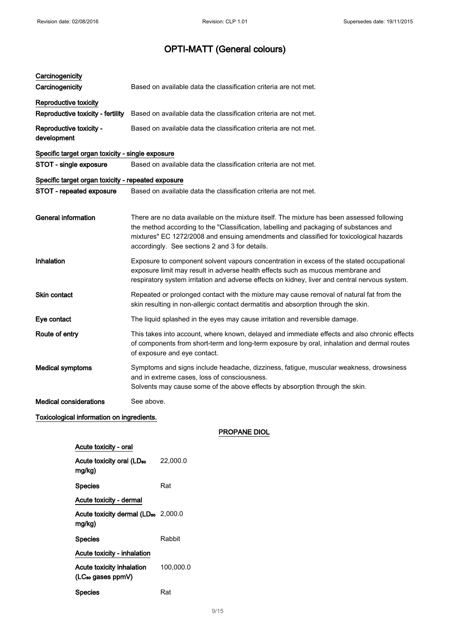| Carcinogenicity<br>Carcinogenicity                                | Based on available data the classification criteria are not met.                                                                                                                                                                                                                                                                 |
|-------------------------------------------------------------------|----------------------------------------------------------------------------------------------------------------------------------------------------------------------------------------------------------------------------------------------------------------------------------------------------------------------------------|
| <b>Reproductive toxicity</b><br>Reproductive toxicity - fertility | Based on available data the classification criteria are not met.                                                                                                                                                                                                                                                                 |
| Reproductive toxicity -<br>development                            | Based on available data the classification criteria are not met.                                                                                                                                                                                                                                                                 |
| Specific target organ toxicity - single exposure                  |                                                                                                                                                                                                                                                                                                                                  |
| STOT - single exposure                                            | Based on available data the classification criteria are not met.                                                                                                                                                                                                                                                                 |
| Specific target organ toxicity - repeated exposure                |                                                                                                                                                                                                                                                                                                                                  |
| STOT - repeated exposure                                          | Based on available data the classification criteria are not met.                                                                                                                                                                                                                                                                 |
|                                                                   |                                                                                                                                                                                                                                                                                                                                  |
| <b>General information</b>                                        | There are no data available on the mixture itself. The mixture has been assessed following<br>the method according to the "Classification, labelling and packaging of substances and<br>mixtures" EC 1272/2008 and ensuing amendments and classified for toxicological hazards<br>accordingly. See sections 2 and 3 for details. |
| Inhalation                                                        | Exposure to component solvent vapours concentration in excess of the stated occupational<br>exposure limit may result in adverse health effects such as mucous membrane and<br>respiratory system irritation and adverse effects on kidney, liver and central nervous system.                                                    |
| Skin contact                                                      | Repeated or prolonged contact with the mixture may cause removal of natural fat from the<br>skin resulting in non-allergic contact dermatitis and absorption through the skin.                                                                                                                                                   |
| Eye contact                                                       | The liquid splashed in the eyes may cause irritation and reversible damage.                                                                                                                                                                                                                                                      |
| Route of entry                                                    | This takes into account, where known, delayed and immediate effects and also chronic effects<br>of components from short-term and long-term exposure by oral, inhalation and dermal routes<br>of exposure and eye contact.                                                                                                       |
| <b>Medical symptoms</b>                                           | Symptoms and signs include headache, dizziness, fatigue, muscular weakness, drowsiness<br>and in extreme cases, loss of consciousness.<br>Solvents may cause some of the above effects by absorption through the skin.                                                                                                           |
| <b>Medical considerations</b>                                     | See above.                                                                                                                                                                                                                                                                                                                       |
|                                                                   |                                                                                                                                                                                                                                                                                                                                  |

### Toxicological information on ingredients.

PROPANE DIOL

| Acute toxicity - oral                                      |           |
|------------------------------------------------------------|-----------|
| Acute toxicity oral (LD <sub>50</sub><br>mg/kg)            | 22,000.0  |
| <b>Species</b>                                             | Rat       |
| Acute toxicity - dermal                                    |           |
| Acute toxicity dermal (LD <sub>50</sub> 2,000.0<br>ma/ka)  |           |
| <b>Species</b>                                             | Rabbit    |
| Acute toxicity - inhalation                                |           |
| Acute toxicity inhalation<br>(LC <sub>so</sub> gases ppmV) | 100,000.0 |
| <b>Species</b>                                             | Rat       |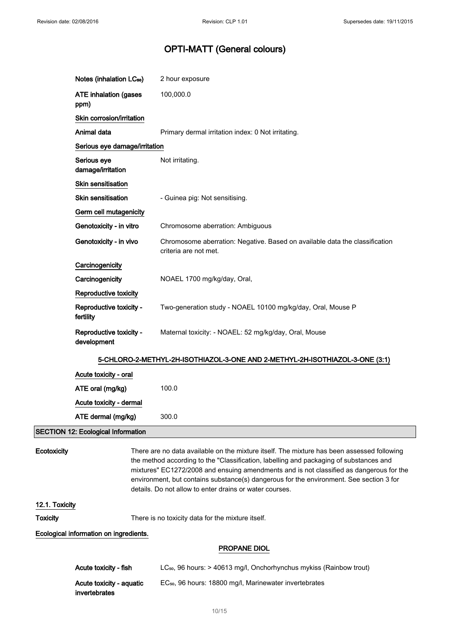|                 | Notes (inhalation LC <sub>50</sub> )      | 2 hour exposure                                                                                                                                                                                                                                                                                                                                                                                                                       |
|-----------------|-------------------------------------------|---------------------------------------------------------------------------------------------------------------------------------------------------------------------------------------------------------------------------------------------------------------------------------------------------------------------------------------------------------------------------------------------------------------------------------------|
|                 | <b>ATE inhalation (gases</b><br>ppm)      | 100,000.0                                                                                                                                                                                                                                                                                                                                                                                                                             |
|                 | Skin corrosion/irritation                 |                                                                                                                                                                                                                                                                                                                                                                                                                                       |
|                 | Animal data                               | Primary dermal irritation index: 0 Not irritating.                                                                                                                                                                                                                                                                                                                                                                                    |
|                 | Serious eye damage/irritation             |                                                                                                                                                                                                                                                                                                                                                                                                                                       |
|                 | Serious eye<br>damage/irritation          | Not irritating.                                                                                                                                                                                                                                                                                                                                                                                                                       |
|                 | <b>Skin sensitisation</b>                 |                                                                                                                                                                                                                                                                                                                                                                                                                                       |
|                 | Skin sensitisation                        | - Guinea pig: Not sensitising.                                                                                                                                                                                                                                                                                                                                                                                                        |
|                 | Germ cell mutagenicity                    |                                                                                                                                                                                                                                                                                                                                                                                                                                       |
|                 | Genotoxicity - in vitro                   | Chromosome aberration: Ambiguous                                                                                                                                                                                                                                                                                                                                                                                                      |
|                 | Genotoxicity - in vivo                    | Chromosome aberration: Negative. Based on available data the classification<br>criteria are not met.                                                                                                                                                                                                                                                                                                                                  |
|                 | Carcinogenicity                           |                                                                                                                                                                                                                                                                                                                                                                                                                                       |
|                 | Carcinogenicity                           | NOAEL 1700 mg/kg/day, Oral,                                                                                                                                                                                                                                                                                                                                                                                                           |
|                 | Reproductive toxicity                     |                                                                                                                                                                                                                                                                                                                                                                                                                                       |
|                 | Reproductive toxicity -<br>fertility      | Two-generation study - NOAEL 10100 mg/kg/day, Oral, Mouse P                                                                                                                                                                                                                                                                                                                                                                           |
|                 | Reproductive toxicity -<br>development    | Maternal toxicity: - NOAEL: 52 mg/kg/day, Oral, Mouse                                                                                                                                                                                                                                                                                                                                                                                 |
|                 |                                           | 5-CHLORO-2-METHYL-2H-ISOTHIAZOL-3-ONE AND 2-METHYL-2H-ISOTHIAZOL-3-ONE (3:1)                                                                                                                                                                                                                                                                                                                                                          |
|                 | Acute toxicity - oral                     |                                                                                                                                                                                                                                                                                                                                                                                                                                       |
|                 | ATE oral (mg/kg)                          | 100.0                                                                                                                                                                                                                                                                                                                                                                                                                                 |
|                 | Acute toxicity - dermal                   |                                                                                                                                                                                                                                                                                                                                                                                                                                       |
|                 | ATE dermal (mg/kg)                        | 300.0                                                                                                                                                                                                                                                                                                                                                                                                                                 |
|                 | <b>SECTION 12: Ecological Information</b> |                                                                                                                                                                                                                                                                                                                                                                                                                                       |
| Ecotoxicity     |                                           | There are no data available on the mixture itself. The mixture has been assessed following<br>the method according to the "Classification, labelling and packaging of substances and<br>mixtures" EC1272/2008 and ensuing amendments and is not classified as dangerous for the<br>environment, but contains substance(s) dangerous for the environment. See section 3 for<br>details. Do not allow to enter drains or water courses. |
| 12.1. Toxicity  |                                           |                                                                                                                                                                                                                                                                                                                                                                                                                                       |
| <b>Toxicity</b> |                                           | There is no toxicity data for the mixture itself.                                                                                                                                                                                                                                                                                                                                                                                     |
|                 | Ecological information on ingredients.    |                                                                                                                                                                                                                                                                                                                                                                                                                                       |
|                 |                                           | <b>PROPANE DIOL</b>                                                                                                                                                                                                                                                                                                                                                                                                                   |

| Acute toxicity - fish    | $LC_{50}$ , 96 hours: $>$ 40613 mg/l, Onchorhynchus mykiss (Rainbow trout) |
|--------------------------|----------------------------------------------------------------------------|
| Acute toxicity - aguatic | EC <sub>50</sub> , 96 hours: 18800 mg/l, Marinewater invertebrates         |
| invertebrates            |                                                                            |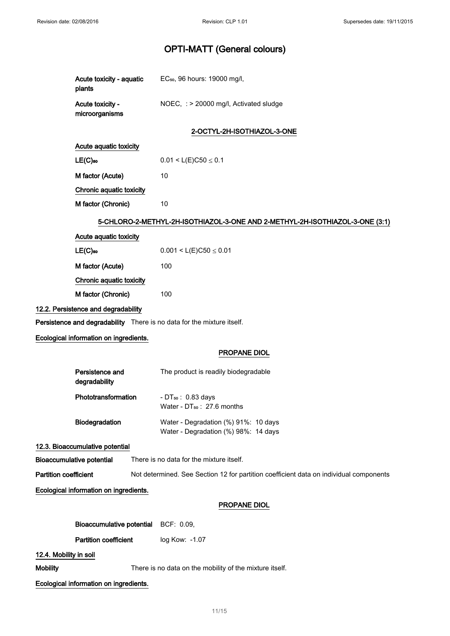| Acute toxicity - aquatic<br>plants                                     | EC <sub>50</sub> , 96 hours: 19000 mg/l,                                               |
|------------------------------------------------------------------------|----------------------------------------------------------------------------------------|
| Acute toxicity -<br>microorganisms                                     | NOEC, : > 20000 mg/l, Activated sludge                                                 |
|                                                                        | 2-OCTYL-2H-ISOTHIAZOL-3-ONE                                                            |
| Acute aquatic toxicity                                                 |                                                                                        |
| $LE(C)$ 50                                                             | $0.01 < L(E)C50 \le 0.1$                                                               |
| M factor (Acute)                                                       | 10                                                                                     |
| Chronic aquatic toxicity                                               |                                                                                        |
| M factor (Chronic)                                                     | 10                                                                                     |
|                                                                        | 5-CHLORO-2-METHYL-2H-ISOTHIAZOL-3-ONE AND 2-METHYL-2H-ISOTHIAZOL-3-ONE (3:1)           |
| Acute aquatic toxicity                                                 |                                                                                        |
| $LE(C)$ <sub>50</sub>                                                  | $0.001 < L(E)C50 \le 0.01$                                                             |
| M factor (Acute)                                                       | 100                                                                                    |
| Chronic aquatic toxicity                                               |                                                                                        |
| M factor (Chronic)                                                     | 100                                                                                    |
| 12.2. Persistence and degradability                                    |                                                                                        |
| Persistence and degradability There is no data for the mixture itself. |                                                                                        |
| Ecological information on ingredients.                                 |                                                                                        |
|                                                                        | <b>PROPANE DIOL</b>                                                                    |
| Persistence and<br>degradability                                       | The product is readily biodegradable                                                   |
| Phototransformation                                                    | - DT <sub>50</sub> : 0.83 days<br>Water - DT <sub>50</sub> : 27.6 months               |
| Biodegradation                                                         | Water - Degradation (%) 91%: 10 days<br>Water - Degradation (%) 98%: 14 days           |
| 12.3. Bioaccumulative potential                                        |                                                                                        |
| <b>Bioaccumulative potential</b>                                       | There is no data for the mixture itself.                                               |
| <b>Partition coefficient</b>                                           | Not determined. See Section 12 for partition coefficient data on individual components |
| Ecological information on ingredients.                                 |                                                                                        |
|                                                                        | PROPANE DIOL                                                                           |
| <b>Bioaccumulative potential</b>                                       | BCF: 0.09,                                                                             |
| <b>Partition coefficient</b>                                           | log Kow: - 1.07                                                                        |
| 12.4. Mobility in soil                                                 |                                                                                        |
| <b>Mobility</b>                                                        | There is no data on the mobility of the mixture itself.                                |
| Ecological information on ingredients.                                 |                                                                                        |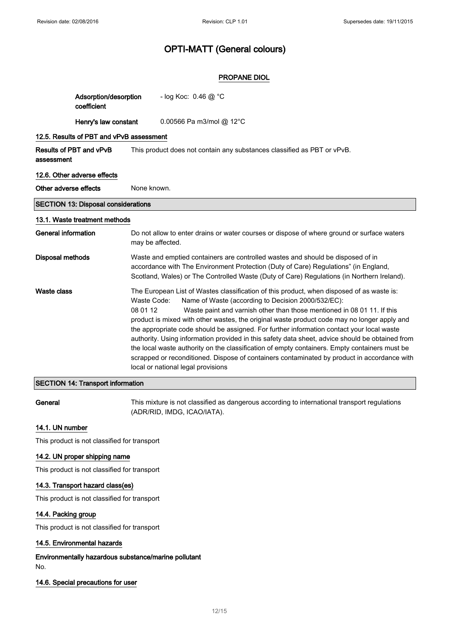### PROPANE DIOL

|                                       | Adsorption/desorption<br>coefficient       |                         | - log Koc: $0.46 \text{ @ } ^{\circ}C$                                                                                                                                                                                                                                                                                                                                                                                                                                                                                                                                                                                                                                                                                                                          |  |  |
|---------------------------------------|--------------------------------------------|-------------------------|-----------------------------------------------------------------------------------------------------------------------------------------------------------------------------------------------------------------------------------------------------------------------------------------------------------------------------------------------------------------------------------------------------------------------------------------------------------------------------------------------------------------------------------------------------------------------------------------------------------------------------------------------------------------------------------------------------------------------------------------------------------------|--|--|
|                                       | Henry's law constant                       |                         | 0.00566 Pa m3/mol @ $12^{\circ}$ C                                                                                                                                                                                                                                                                                                                                                                                                                                                                                                                                                                                                                                                                                                                              |  |  |
|                                       | 12.5. Results of PBT and vPvB assessment   |                         |                                                                                                                                                                                                                                                                                                                                                                                                                                                                                                                                                                                                                                                                                                                                                                 |  |  |
| Results of PBT and vPvB<br>assessment |                                            |                         | This product does not contain any substances classified as PBT or vPvB.                                                                                                                                                                                                                                                                                                                                                                                                                                                                                                                                                                                                                                                                                         |  |  |
|                                       | 12.6. Other adverse effects                |                         |                                                                                                                                                                                                                                                                                                                                                                                                                                                                                                                                                                                                                                                                                                                                                                 |  |  |
| Other adverse effects                 |                                            | None known.             |                                                                                                                                                                                                                                                                                                                                                                                                                                                                                                                                                                                                                                                                                                                                                                 |  |  |
|                                       | <b>SECTION 13: Disposal considerations</b> |                         |                                                                                                                                                                                                                                                                                                                                                                                                                                                                                                                                                                                                                                                                                                                                                                 |  |  |
| 13.1. Waste treatment methods         |                                            |                         |                                                                                                                                                                                                                                                                                                                                                                                                                                                                                                                                                                                                                                                                                                                                                                 |  |  |
| <b>General information</b>            |                                            | may be affected.        | Do not allow to enter drains or water courses or dispose of where ground or surface waters                                                                                                                                                                                                                                                                                                                                                                                                                                                                                                                                                                                                                                                                      |  |  |
| <b>Disposal methods</b>               |                                            |                         | Waste and emptied containers are controlled wastes and should be disposed of in<br>accordance with The Environment Protection (Duty of Care) Regulations" (in England,<br>Scotland, Wales) or The Controlled Waste (Duty of Care) Regulations (in Northern Ireland).                                                                                                                                                                                                                                                                                                                                                                                                                                                                                            |  |  |
| Waste class                           |                                            | Waste Code:<br>08 01 12 | The European List of Wastes classification of this product, when disposed of as waste is:<br>Name of Waste (according to Decision 2000/532/EC):<br>Waste paint and varnish other than those mentioned in 08 01 11. If this<br>product is mixed with other wastes, the original waste product code may no longer apply and<br>the appropriate code should be assigned. For further information contact your local waste<br>authority. Using information provided in this safety data sheet, advice should be obtained from<br>the local waste authority on the classification of empty containers. Empty containers must be<br>scrapped or reconditioned. Dispose of containers contaminated by product in accordance with<br>local or national legal provisions |  |  |

### SECTION 14: Transport information

General This mixture is not classified as dangerous according to international transport regulations (ADR/RID, IMDG, ICAO/IATA).

### 14.1. UN number

This product is not classified for transport

### 14.2. UN proper shipping name

This product is not classified for transport

### 14.3. Transport hazard class(es)

This product is not classified for transport

#### 14.4. Packing group

This product is not classified for transport

#### 14.5. Environmental hazards

Environmentally hazardous substance/marine pollutant No.

### 14.6. Special precautions for user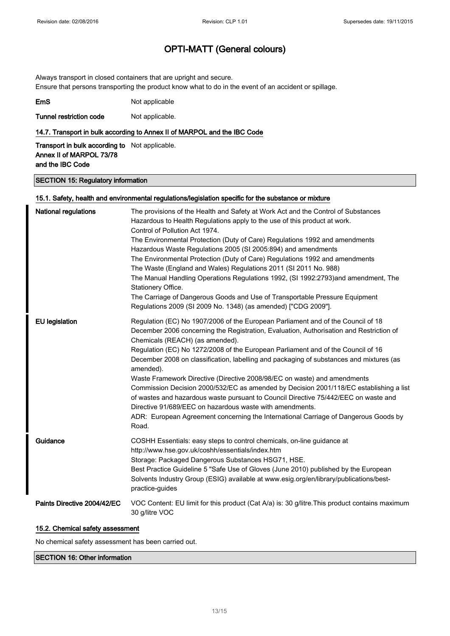Always transport in closed containers that are upright and secure. Ensure that persons transporting the product know what to do in the event of an accident or spillage.

| EmS | Not applicable |
|-----|----------------|
|     |                |

Tunnel restriction code Not applicable.

#### 14.7. Transport in bulk according to Annex II of MARPOL and the IBC Code

Transport in bulk according to Not applicable. Annex II of MARPOL 73/78 and the IBC Code

#### SECTION 15: Regulatory information

### 15.1. Safety, health and environmental regulations/legislation specific for the substance or mixture National regulations The provisions of the Health and Safety at Work Act and the Control of Substances Hazardous to Health Regulations apply to the use of this product at work. Control of Pollution Act 1974. The Environmental Protection (Duty of Care) Regulations 1992 and amendments Hazardous Waste Regulations 2005 (SI 2005:894) and amendments The Environmental Protection (Duty of Care) Regulations 1992 and amendments The Waste (England and Wales) Regulations 2011 (SI 2011 No. 988) The Manual Handling Operations Regulations 1992, (SI 1992:2793)and amendment, The Stationery Office. The Carriage of Dangerous Goods and Use of Transportable Pressure Equipment Regulations 2009 (SI 2009 No. 1348) (as amended) ["CDG 2009"]. EU legislation Regulation (EC) No 1907/2006 of the European Parliament and of the Council of 18 December 2006 concerning the Registration, Evaluation, Authorisation and Restriction of Chemicals (REACH) (as amended). Regulation (EC) No 1272/2008 of the European Parliament and of the Council of 16 December 2008 on classification, labelling and packaging of substances and mixtures (as amended). Waste Framework Directive (Directive 2008/98/EC on waste) and amendments Commission Decision 2000/532/EC as amended by Decision 2001/118/EC establishing a list of wastes and hazardous waste pursuant to Council Directive 75/442/EEC on waste and Directive 91/689/EEC on hazardous waste with amendments. ADR: European Agreement concerning the International Carriage of Dangerous Goods by Road. Guidance COSHH Essentials: easy steps to control chemicals, on-line guidance at http://www.hse.gov.uk/coshh/essentials/index.htm Storage: Packaged Dangerous Substances HSG71, HSE. Best Practice Guideline 5 "Safe Use of Gloves (June 2010) published by the European Solvents Industry Group (ESIG) available at www.esig.org/en/library/publications/bestpractice-guides Paints Directive 2004/42/EC VOC Content: EU limit for this product (Cat A/a) is: 30 g/litre. This product contains maximum 30 g/litre VOC

#### 15.2. Chemical safety assessment

No chemical safety assessment has been carried out.

#### SECTION 16: Other information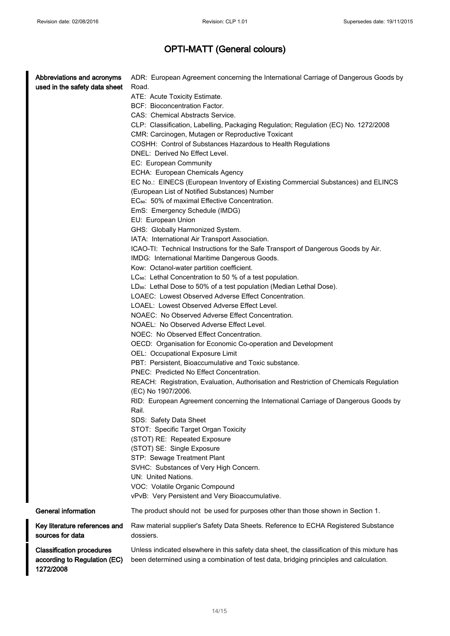| Abbreviations and acronyms                | ADR: European Agreement concerning the International Carriage of Dangerous Goods by          |
|-------------------------------------------|----------------------------------------------------------------------------------------------|
| used in the safety data sheet             | Road.                                                                                        |
|                                           | ATE: Acute Toxicity Estimate.                                                                |
|                                           | BCF: Bioconcentration Factor.<br>CAS: Chemical Abstracts Service.                            |
|                                           | CLP: Classification, Labelling, Packaging Regulation; Regulation (EC) No. 1272/2008          |
|                                           | CMR: Carcinogen, Mutagen or Reproductive Toxicant                                            |
|                                           | COSHH: Control of Substances Hazardous to Health Regulations                                 |
|                                           | DNEL: Derived No Effect Level.                                                               |
|                                           | EC: European Community                                                                       |
|                                           | ECHA: European Chemicals Agency                                                              |
|                                           | EC No.: EINECS (European Inventory of Existing Commercial Substances) and ELINCS             |
|                                           | (European List of Notified Substances) Number                                                |
|                                           | EC <sub>50</sub> : 50% of maximal Effective Concentration.                                   |
|                                           | EmS: Emergency Schedule (IMDG)                                                               |
|                                           | EU: European Union                                                                           |
|                                           | GHS: Globally Harmonized System.                                                             |
|                                           | IATA: International Air Transport Association.                                               |
|                                           | ICAO-TI: Technical Instructions for the Safe Transport of Dangerous Goods by Air.            |
|                                           | IMDG: International Maritime Dangerous Goods.                                                |
|                                           | Kow: Octanol-water partition coefficient.                                                    |
|                                           | LC <sub>50</sub> : Lethal Concentration to 50 % of a test population.                        |
|                                           | LD <sub>50</sub> : Lethal Dose to 50% of a test population (Median Lethal Dose).             |
|                                           | LOAEC: Lowest Observed Adverse Effect Concentration.                                         |
|                                           | LOAEL: Lowest Observed Adverse Effect Level.                                                 |
|                                           | NOAEC: No Observed Adverse Effect Concentration.                                             |
|                                           | NOAEL: No Observed Adverse Effect Level.                                                     |
|                                           | NOEC: No Observed Effect Concentration.                                                      |
|                                           | OECD: Organisation for Economic Co-operation and Development                                 |
|                                           | OEL: Occupational Exposure Limit                                                             |
|                                           | PBT: Persistent, Bioaccumulative and Toxic substance.                                        |
|                                           | PNEC: Predicted No Effect Concentration.                                                     |
|                                           | REACH: Registration, Evaluation, Authorisation and Restriction of Chemicals Regulation       |
|                                           | (EC) No 1907/2006.                                                                           |
|                                           | RID: European Agreement concerning the International Carriage of Dangerous Goods by          |
|                                           | Rail.                                                                                        |
|                                           | SDS: Safety Data Sheet                                                                       |
|                                           | STOT: Specific Target Organ Toxicity<br>(STOT) RE: Repeated Exposure                         |
|                                           | (STOT) SE: Single Exposure                                                                   |
|                                           | STP: Sewage Treatment Plant                                                                  |
|                                           | SVHC: Substances of Very High Concern.                                                       |
|                                           | UN: United Nations.                                                                          |
|                                           | VOC: Volatile Organic Compound                                                               |
|                                           | vPvB: Very Persistent and Very Bioaccumulative.                                              |
| <b>General information</b>                | The product should not be used for purposes other than those shown in Section 1.             |
| Key literature references and             | Raw material supplier's Safety Data Sheets. Reference to ECHA Registered Substance           |
| sources for data                          | dossiers.                                                                                    |
| <b>Classification procedures</b>          | Unless indicated elsewhere in this safety data sheet, the classification of this mixture has |
| according to Regulation (EC)<br>1272/2008 | been determined using a combination of test data, bridging principles and calculation.       |